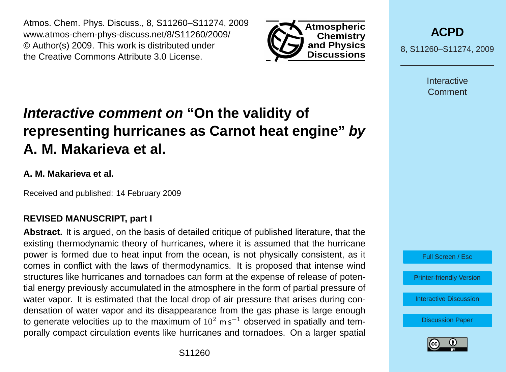Atmos. Chem. Phys. Discuss., 8, S11260–S11274, 2009 www.atmos-chem-phys-discuss.net/8/S11260/2009/ © Author(s) 2009. This work is distributed under the Creative Commons Attribute 3.0 License.



**[ACPD](http://www.atmos-chem-phys-discuss.net)**

8, S11260–S11274, 2009

**Interactive Comment** 

# **Interactive comment on "On the validity of representing hurricanes as Carnot heat engine" by A. M. Makarieva et al.**

## **A. M. Makarieva et al.**

Received and published: 14 February 2009

## **REVISED MANUSCRIPT, part I**

**Abstract.** It is argued, on the basis of detailed critique of published literature, that the existing thermodynamic theory of hurricanes, where it is assumed that the hurricane power is formed due to heat input from the ocean, is not physically consistent, as it comes in conflict with the laws of thermodynamics. It is proposed that intense wind structures like hurricanes and tornadoes can form at the expense of release of potential energy previously accumulated in the atmosphere in the form of partial pressure of water vapor. It is estimated that the local drop of air pressure that arises during condensation of water vapor and its disappearance from the gas phase is large enough to generate velocities up to the maximum of  $10^2$  m s<sup>−1</sup> observed in spatially and temporally compact circulation events like hurricanes and tornadoes. On a larger spatial

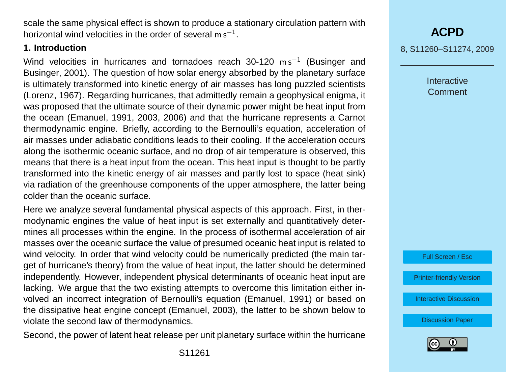scale the same physical effect is shown to produce a stationary circulation pattern with horizontal wind velocities in the order of several  $\mathsf{m}\,\mathsf{s}^{-1}.$ 

### **1. Introduction**

Wind velocities in hurricanes and tornadoes reach 30-120  $\text{m s}^{-1}$  [\(Businger and](#page-13-0) [Businger,](#page-13-0) [2001\)](#page-13-0). The question of how solar energy absorbed by the planetary surface is ultimately transformed into kinetic energy of air masses has long puzzled scientists [\(Lorenz,](#page-13-0) [1967\)](#page-13-0). Regarding hurricanes, that admittedly remain a geophysical enigma, it was proposed that the ultimate source of their dynamic power might be heat input from the ocean [\(Emanuel,](#page-13-0) [1991,](#page-13-0) [2003,](#page-13-0) [2006\)](#page-13-0) and that the hurricane represents a Carnot thermodynamic engine. Briefly, according to the Bernoulli's equation, acceleration of air masses under adiabatic conditions leads to their cooling. If the acceleration occurs along the isothermic oceanic surface, and no drop of air temperature is observed, this means that there is a heat input from the ocean. This heat input is thought to be partly transformed into the kinetic energy of air masses and partly lost to space (heat sink) via radiation of the greenhouse components of the upper atmosphere, the latter being colder than the oceanic surface.

Here we analyze several fundamental physical aspects of this approach. First, in thermodynamic engines the value of heat input is set externally and quantitatively determines all processes within the engine. In the process of isothermal acceleration of air masses over the oceanic surface the value of presumed oceanic heat input is related to wind velocity. In order that wind velocity could be numerically predicted (the main target of hurricane's theory) from the value of heat input, the latter should be determined independently. However, independent physical determinants of oceanic heat input are lacking. We argue that the two existing attempts to overcome this limitation either involved an incorrect integration of Bernoulli's equation [\(Emanuel,](#page-13-0) [1991\)](#page-13-0) or based on the dissipative heat engine concept [\(Emanuel,](#page-13-0) [2003\)](#page-13-0), the latter to be shown below to violate the second law of thermodynamics.

Second, the power of latent heat release per unit planetary surface within the hurricane

8, S11260–S11274, 2009

**Interactive** Comment

Full Screen / Esc

[Printer-friendly Version](http://www.atmos-chem-phys-discuss.net/8/S11260/2009/acpd-8-S11260-2009-print.pdf)

[Interactive Discussion](http://www.atmos-chem-phys-discuss.net/8/17423/2008/acpd-8-17423-2008-discussion.html)

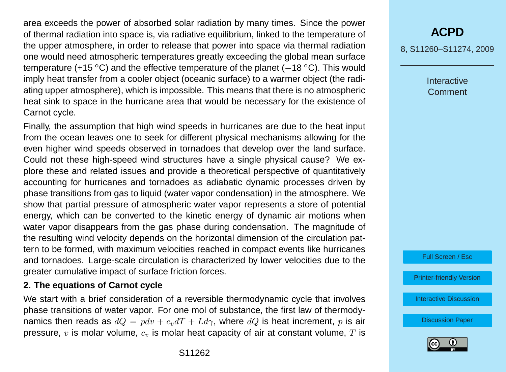area exceeds the power of absorbed solar radiation by many times. Since the power of thermal radiation into space is, via radiative equilibrium, linked to the temperature of the upper atmosphere, in order to release that power into space via thermal radiation one would need atmospheric temperatures greatly exceeding the global mean surface temperature (+15 °C) and the effective temperature of the planet ( $-18$  °C). This would imply heat transfer from a cooler object (oceanic surface) to a warmer object (the radiating upper atmosphere), which is impossible. This means that there is no atmospheric heat sink to space in the hurricane area that would be necessary for the existence of Carnot cycle.

Finally, the assumption that high wind speeds in hurricanes are due to the heat input from the ocean leaves one to seek for different physical mechanisms allowing for the even higher wind speeds observed in tornadoes that develop over the land surface. Could not these high-speed wind structures have a single physical cause? We explore these and related issues and provide a theoretical perspective of quantitatively accounting for hurricanes and tornadoes as adiabatic dynamic processes driven by phase transitions from gas to liquid (water vapor condensation) in the atmosphere. We show that partial pressure of atmospheric water vapor represents a store of potential energy, which can be converted to the kinetic energy of dynamic air motions when water vapor disappears from the gas phase during condensation. The magnitude of the resulting wind velocity depends on the horizontal dimension of the circulation pattern to be formed, with maximum velocities reached in compact events like hurricanes and tornadoes. Large-scale circulation is characterized by lower velocities due to the greater cumulative impact of surface friction forces.

### **2. The equations of Carnot cycle**

We start with a brief consideration of a reversible thermodynamic cycle that involves phase transitions of water vapor. For one mol of substance, the first law of thermodynamics then reads as  $dQ = pdv + c<sub>v</sub>dT + Ld\gamma$ , where  $dQ$  is heat increment, p is air pressure,  $v$  is molar volume,  $c_v$  is molar heat capacity of air at constant volume,  $T$  is

## **[ACPD](http://www.atmos-chem-phys-discuss.net)**

8, S11260–S11274, 2009

**Interactive Comment** 



[Printer-friendly Version](http://www.atmos-chem-phys-discuss.net/8/S11260/2009/acpd-8-S11260-2009-print.pdf)

[Interactive Discussion](http://www.atmos-chem-phys-discuss.net/8/17423/2008/acpd-8-17423-2008-discussion.html)

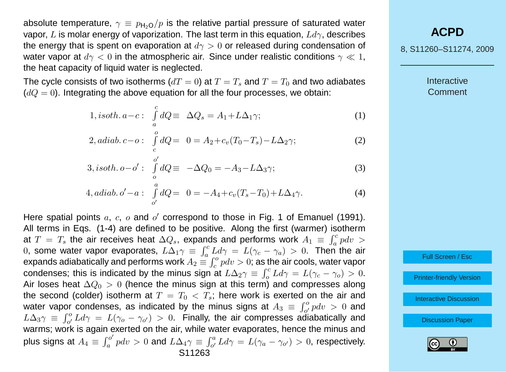absolute temperature,  $\gamma \equiv p_{\text{H}_2\Omega}/p$  is the relative partial pressure of saturated water vapor, L is molar energy of vaporization. The last term in this equation,  $Ld\gamma$ , describes the energy that is spent on evaporation at  $d\gamma > 0$  or released during condensation of water vapor at  $d\gamma < 0$  in the atmospheric air. Since under realistic conditions  $\gamma \ll 1$ , the heat capacity of liquid water is neglected.

The cycle consists of two isotherms ( $dT = 0$ ) at  $T = T_s$  and  $T = T_0$  and two adiabates  $(dQ = 0)$ . Integrating the above equation for all the four processes, we obtain:

$$
1, isoth. \, a-c: \int_{a}^{c} dQ \equiv \Delta Q_s = A_1 + L\Delta_1 \gamma; \tag{1}
$$

2, *adiab*. 
$$
c - o
$$
:  $\int_{c}^{o} dQ = 0 = A_2 + c_v (T_0 - T_s) - L\Delta_2 \gamma;$  (2)

$$
3, isoth. \, o - o': \int_{o}^{o'} dQ \equiv -\Delta Q_0 = -A_3 - L\Delta_3 \gamma; \tag{3}
$$

4, *adiab*. 
$$
o' - a
$$
:  $\int_{o'}^{a} dQ = 0 = -A_4 + c_v(T_s - T_0) + L\Delta_4 \gamma$ . (4)

Here spatial points  $a, c, o$  and  $o'$  correspond to those in Fig. 1 of [Emanuel](#page-13-0) [\(1991\)](#page-13-0). All terms in Eqs. (1-4) are defined to be positive. Along the first (warmer) isotherm at  $T = T_s$  the air receives heat  $\Delta Q_s$ , expands and performs work  $A_1 \equiv \int_a^c pdv$ 0, some water vapor evaporates,  $L\Delta_1\gamma = \int_a^c L d\gamma = L(\gamma_c - \gamma_a) > 0$ . Then the air expands adiabatically and performs work  $A_2\equiv \int_c^o p dv>0$ ; as the air cools, water vapor condenses; this is indicated by the minus sign at  $L\Delta_2\gamma \equiv \int_o^c L d\gamma = L(\gamma_c - \gamma_o) > 0.$ Air loses heat  $\Delta Q_0 > 0$  (hence the minus sign at this term) and compresses along the second (colder) isotherm at  $T = T_0 < T_s$ ; here work is exerted on the air and water vapor condenses, as indicated by the minus signs at  $A_3 \equiv \int_{o'}^{o} p dv > 0$  and  $L\Delta_3\gamma \equiv \int_{o'}^{o} L d\gamma = L(\gamma_o - \gamma_{o'}) > 0$ . Finally, the air compresses adiabatically and warms; work is again exerted on the air, while water evaporates, hence the minus and plus signs at  $A_4 \equiv \int_a^{b}$  $\int_a^{c\prime}p dv>0$  and  $L\Delta_4\gamma\equiv\int_{o'}^aLd\gamma=L(\gamma_a-\gamma_{o'})>0,$  respectively. S11263

## **[ACPD](http://www.atmos-chem-phys-discuss.net)**

8, S11260–S11274, 2009

**Interactive** Comment

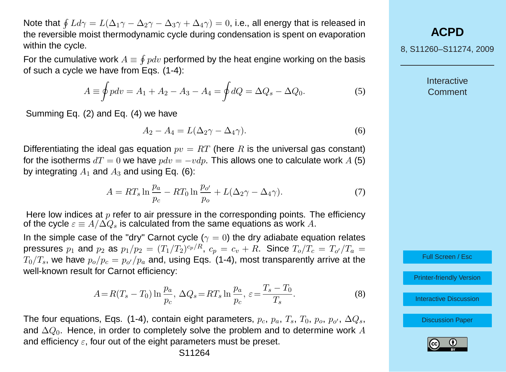Note that  $\oint L d\gamma=L(\Delta_1\gamma-\Delta_2\gamma-\Delta_3\gamma+\Delta_4\gamma)=0$ , i.e., all energy that is released in the reversible moist thermodynamic cycle during condensation is spent on evaporation within the cycle.

For the cumulative work  $A \equiv \oint pdv$  performed by the heat engine working on the basis of such a cycle we have from Eqs. (1-4):

$$
A \equiv \oint p dv = A_1 + A_2 - A_3 - A_4 = \oint dQ = \Delta Q_s - \Delta Q_0.
$$
 (5)

Summing Eq. (2) and Eq. (4) we have

$$
A_2 - A_4 = L(\Delta_2 \gamma - \Delta_4 \gamma). \tag{6}
$$

Differentiating the ideal gas equation  $pv = RT$  (here R is the universal gas constant) for the isotherms  $dT = 0$  we have  $pdv = -vdp$ . This allows one to calculate work A (5) by integrating  $A_1$  and  $A_3$  and using Eq. (6):

$$
A = RT_s \ln \frac{p_a}{p_c} - RT_0 \ln \frac{p_{o'}}{p_o} + L(\Delta_2 \gamma - \Delta_4 \gamma). \tag{7}
$$

Here low indices at  $p$  refer to air pressure in the corresponding points. The efficiency of the cycle  $\varepsilon \equiv A/\Delta Q_s$  is calculated from the same equations as work A.

In the simple case of the "dry" Carnot cycle ( $\gamma = 0$ ) the dry adiabate equation relates pressures  $p_1$  and  $p_2$  as  $p_1/p_2=(T_1/T_2)^{c_p/R},\,c_p=c_v+R.$  Since  $T_o/T_c=\,T_{o'}/T_a=$  $T_0/T_s$ , we have  $p_o/p_c=p_{o'}/p_a$  and, using Eqs. (1-4), most transparently arrive at the well-known result for Carnot efficiency:

$$
A = R(T_s - T_0) \ln \frac{p_a}{p_c}, \ \Delta Q_s = RT_s \ln \frac{p_a}{p_c}, \ \varepsilon = \frac{T_s - T_0}{T_s}.
$$
 (8)

The four equations, Eqs. (1-4), contain eight parameters,  $p_c, p_a, T_s, T_0, p_o, p_{o'}, \Delta Q_s,$ and  $\Delta Q_0$ . Hence, in order to completely solve the problem and to determine work A and efficiency  $\varepsilon$ , four out of the eight parameters must be preset.

**[ACPD](http://www.atmos-chem-phys-discuss.net)**

8, S11260–S11274, 2009

**Interactive Comment** 

Full Screen / Esc

[Printer-friendly Version](http://www.atmos-chem-phys-discuss.net/8/S11260/2009/acpd-8-S11260-2009-print.pdf)

[Interactive Discussion](http://www.atmos-chem-phys-discuss.net/8/17423/2008/acpd-8-17423-2008-discussion.html)

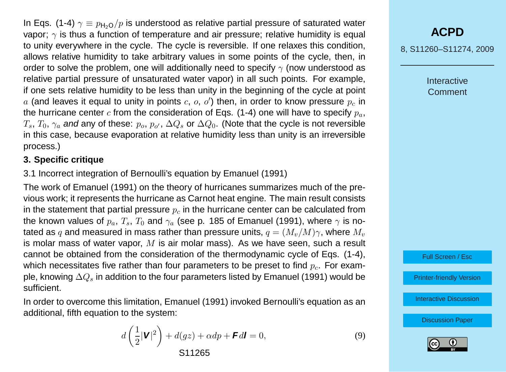In Eqs. (1-4)  $\gamma \equiv p_{H_2O}/p$  is understood as relative partial pressure of saturated water vapor;  $\gamma$  is thus a function of temperature and air pressure; relative humidity is equal to unity everywhere in the cycle. The cycle is reversible. If one relaxes this condition, allows relative humidity to take arbitrary values in some points of the cycle, then, in order to solve the problem, one will additionally need to specify  $\gamma$  (now understood as relative partial pressure of unsaturated water vapor) in all such points. For example, if one sets relative humidity to be less than unity in the beginning of the cycle at point  $a$  (and leaves it equal to unity in points  $c, o, o'$ ) then, in order to know pressure  $p_c$  in the hurricane center c from the consideration of Eqs. (1-4) one will have to specify  $p_a$ ,  $T_s,$   $T_0,$   $\gamma_a$  and any of these:  $p_o,$   $p_{o'},$   $\Delta Q_s$  or  $\Delta Q_0.$  (Note that the cycle is not reversible in this case, because evaporation at relative humidity less than unity is an irreversible process.)

## **3. Specific critique**

3.1 Incorrect integration of Bernoulli's equation by [Emanuel](#page-13-0) [\(1991\)](#page-13-0)

The work of [Emanuel](#page-13-0) [\(1991\)](#page-13-0) on the theory of hurricanes summarizes much of the previous work; it represents the hurricane as Carnot heat engine. The main result consists in the statement that partial pressure  $p<sub>c</sub>$  in the hurricane center can be calculated from the known values of  $p_a, T_s, T_0$  and  $\gamma_a$  (see p. 185 of [Emanuel](#page-13-0) [\(1991\)](#page-13-0), where  $\gamma$  is notated as q and measured in mass rather than pressure units,  $q = (M_n/M)\gamma$ , where  $M_n$ is molar mass of water vapor,  $M$  is air molar mass). As we have seen, such a result cannot be obtained from the consideration of the thermodynamic cycle of Eqs. (1-4), which necessitates five rather than four parameters to be preset to find  $p_c$ . For example, knowing  $\Delta Q_s$  in addition to the four parameters listed by [Emanuel](#page-13-0) [\(1991\)](#page-13-0) would be sufficient.

In order to overcome this limitation, [Emanuel](#page-13-0) [\(1991\)](#page-13-0) invoked Bernoulli's equation as an additional, fifth equation to the system:

$$
d\left(\frac{1}{2}|\mathbf{V}|^2\right) + d(gz) + \alpha dp + \mathbf{F}d\mathbf{I} = 0,
$$
\n<sup>(9)</sup>\n<sup>(1)</sup>

**[ACPD](http://www.atmos-chem-phys-discuss.net)**

8, S11260–S11274, 2009

**Interactive** Comment



[Printer-friendly Version](http://www.atmos-chem-phys-discuss.net/8/S11260/2009/acpd-8-S11260-2009-print.pdf)

[Interactive Discussion](http://www.atmos-chem-phys-discuss.net/8/17423/2008/acpd-8-17423-2008-discussion.html)

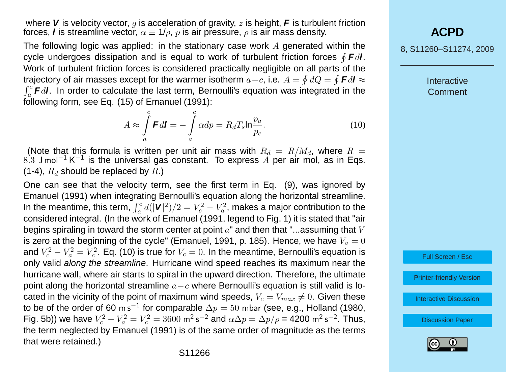where **V** is velocity vector,  $q$  is acceleration of gravity,  $z$  is height, **F** is turbulent friction forces, **l** is streamline vector,  $\alpha \equiv 1/\rho$ , p is air pressure,  $\rho$  is air mass density.

The following logic was applied: in the stationary case work  $A$  generated within the cycle undergoes dissipation and is equal to work of turbulent friction forces H **F**d**l**. Work of turbulent friction forces is considered practically negligible on all parts of the trajectory of air masses except for the warmer isotherm  $a-c,$  i.e.  $A=\oint dQ=\oint \bm{F} d\bm{l}\approx$  $\int_a^c$  **F**d**l**. In order to calculate the last term, Bernoulli's equation was integrated in the following form, see Eq. (15) of [Emanuel](#page-13-0) [\(1991\)](#page-13-0):

$$
A \approx \int_{a}^{c} \mathbf{F}d\mathbf{I} = -\int_{a}^{c} \alpha dp = R_d T_s \ln \frac{p_a}{p_c}.
$$
 (10)

(Note that this formula is written per unit air mass with  $R_d = R/M_d$ , where  $R =$  $8.3\,$  J mol $^{-1}$  K $^{-1}$  is the universal gas constant. To express  $\ddot{A}$  per air mol, as in Eqs. (1-4),  $R_d$  should be replaced by  $R$ .)

One can see that the velocity term, see the first term in Eq. (9), was ignored by [Emanuel](#page-13-0) [\(1991\)](#page-13-0) when integrating Bernoulli's equation along the horizontal streamline. In the meantime, this term,  $\int_a^c d(|{\bm V}|^2)/2 = V_c^2 - V_a^2$ , makes a major contribution to the considered integral. (In the work of [Emanuel](#page-13-0) [\(1991,](#page-13-0) legend to Fig. 1) it is stated that "air begins spiraling in toward the storm center at point  $a<sup>r</sup>$  and then that "...assuming that V is zero at the beginning of the cycle" [\(Emanuel,](#page-13-0) [1991,](#page-13-0) p. 185). Hence, we have  $V_a = 0$ and  $V_c^2-V_a^2=V_c^2.$  Eq. (10) is true for  $V_c=0.$  In the meantime, Bernoulli's equation is only valid along the streamline. Hurricane wind speed reaches its maximum near the hurricane wall, where air starts to spiral in the upward direction. Therefore, the ultimate point along the horizontal streamline  $a-c$  where Bernoulli's equation is still valid is located in the vicinity of the point of maximum wind speeds,  $V_c = V_{max} \neq 0$ . Given these to be of the order of 60 m s $^{-1}$  for comparable  $\Delta p = 50$  mbar (see, e.g., [Holland](#page-13-0) [\(1980,](#page-13-0) Fig. 5b)) we have  $V_c^2 - V_a^2 = V_c^2 = 3600$  m<sup>2</sup> s<sup>-2</sup> and  $\alpha \Delta p = \Delta p/\rho$  = 4200 m<sup>2</sup> s<sup>-2</sup>. Thus, the term neglected by [Emanuel](#page-13-0) [\(1991\)](#page-13-0) is of the same order of magnitude as the terms that were retained.)

## **[ACPD](http://www.atmos-chem-phys-discuss.net)**

8, S11260–S11274, 2009

**Interactive Comment** 



[Printer-friendly Version](http://www.atmos-chem-phys-discuss.net/8/S11260/2009/acpd-8-S11260-2009-print.pdf)

[Interactive Discussion](http://www.atmos-chem-phys-discuss.net/8/17423/2008/acpd-8-17423-2008-discussion.html)

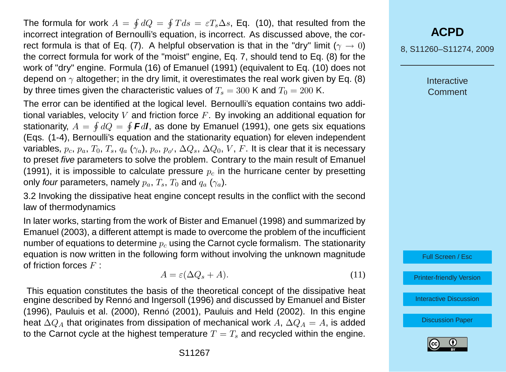The formula for work  $A\,=\,\oint dQ\,=\,\oint T ds\,=\,\varepsilon T_s \Delta s.$  Eq. (10), that resulted from the incorrect integration of Bernoulli's equation, is incorrect. As discussed above, the correct formula is that of Eq. (7). A helpful observation is that in the "dry" limit ( $\gamma \to 0$ ) the correct formula for work of the "moist" engine, Eq. 7, should tend to Eq. (8) for the work of "dry" engine. Formula (16) of [Emanuel](#page-13-0) [\(1991\)](#page-13-0) (equivalent to Eq. (10) does not depend on  $\gamma$  altogether; in the dry limit, it overestimates the real work given by Eq. (8) by three times given the characteristic values of  $T_s = 300$  K and  $T_0 = 200$  K.

The error can be identified at the logical level. Bernoulli's equation contains two additional variables, velocity V and friction force  $F$ . By invoking an additional equation for stationarity,  $A = \oint dQ = \oint \bm{F} d\bm{l}$ , as done by [Emanuel](#page-13-0) [\(1991\)](#page-13-0), one gets six equations (Eqs. (1-4), Bernoulli's equation and the stationarity equation) for eleven independent variables,  $p_c,\,p_a,\,T_0,\,T_s,\,q_a \ (\gamma_a),\,p_o,\,p_{o'},\,\Delta Q_s,\,\Delta Q_0,\,V,\,F.$  It is clear that it is necessary to preset five parameters to solve the problem. Contrary to the main result of [Emanuel](#page-13-0) [\(1991\)](#page-13-0), it is impossible to calculate pressure  $p<sub>c</sub>$  in the hurricane center by presetting only four parameters, namely  $p_a, T_s, T_0$  and  $q_a$  ( $\gamma_a$ ).

3.2 Invoking the dissipative heat engine concept results in the conflict with the second law of thermodynamics

In later works, starting from the work of [Bister and Emanuel](#page-13-0) [\(1998\)](#page-13-0) and summarized by [Emanuel](#page-13-0) [\(2003\)](#page-13-0), a different attempt is made to overcome the problem of the incufficient number of equations to determine  $p<sub>c</sub>$  using the Carnot cycle formalism. The stationarity equation is now written in the following form without involving the unknown magnitude of friction forces  $F$ .

$$
A = \varepsilon (\Delta Q_s + A). \tag{11}
$$

This equation constitutes the basis of the theoretical concept of the dissipative heat engine described by Renn´o [and Ingersoll](#page-14-0) [\(1996\)](#page-14-0) and discussed by [Emanuel and Bister](#page-13-0)  $(1996)$ , [Pauluis et al.](#page-14-0)  $(2000)$ , [Renn](#page-14-0)ó  $(2001)$ , [Pauluis and Held](#page-14-0)  $(2002)$ . In this engine heat  $\Delta Q_A$  that originates from dissipation of mechanical work A,  $\Delta Q_A = A$ , is added to the Carnot cycle at the highest temperature  $T = T_s$  and recycled within the engine. 8, S11260–S11274, 2009

**Interactive** Comment

Full Screen / Esc

[Printer-friendly Version](http://www.atmos-chem-phys-discuss.net/8/S11260/2009/acpd-8-S11260-2009-print.pdf)

[Interactive Discussion](http://www.atmos-chem-phys-discuss.net/8/17423/2008/acpd-8-17423-2008-discussion.html)

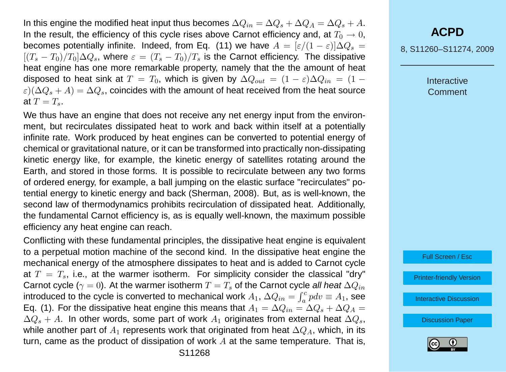In this engine the modified heat input thus becomes  $\Delta Q_{in} = \Delta Q_s + \Delta Q_A = \Delta Q_s + A$ . In the result, the efficiency of this cycle rises above Carnot efficiency and, at  $T_0 \rightarrow 0$ , becomes potentially infinite. Indeed, from Eq. (11) we have  $A = [\varepsilon/(1-\varepsilon)]\Delta Q_s =$  $[(T_s - T_0)/T_0] \Delta Q_s$ , where  $\varepsilon = (T_s - T_0)/T_s$  is the Carnot efficiency. The dissipative heat engine has one more remarkable property, namely that the the amount of heat disposed to heat sink at  $T = T_0$ , which is given by  $\Delta Q_{out} = (1 - \varepsilon) \Delta Q_{in} = (1 - \varepsilon)$  $\varepsilon)(\Delta Q_s + A) = \Delta Q_s$ , coincides with the amount of heat received from the heat source at  $T = T_s$ .

We thus have an engine that does not receive any net energy input from the environment, but recirculates dissipated heat to work and back within itself at a potentially infinite rate. Work produced by heat engines can be converted to potential energy of chemical or gravitational nature, or it can be transformed into practically non-dissipating kinetic energy like, for example, the kinetic energy of satellites rotating around the Earth, and stored in those forms. It is possible to recirculate between any two forms of ordered energy, for example, a ball jumping on the elastic surface "recirculates" potential energy to kinetic energy and back [\(Sherman,](#page-14-0) [2008\)](#page-14-0). But, as is well-known, the second law of thermodynamics prohibits recirculation of dissipated heat. Additionally, the fundamental Carnot efficiency is, as is equally well-known, the maximum possible efficiency any heat engine can reach.

Conflicting with these fundamental principles, the dissipative heat engine is equivalent to a perpetual motion machine of the second kind. In the dissipative heat engine the mechanical energy of the atmosphere dissipates to heat and is added to Carnot cycle at  $T = T<sub>s</sub>$ , i.e., at the warmer isotherm. For simplicity consider the classical "dry" Carnot cycle ( $\gamma = 0$ ). At the warmer isotherm  $T = T_s$  of the Carnot cycle all heat  $\Delta Q_{in}$ introduced to the cycle is converted to mechanical work  $A_1, \, \Delta Q_{in} = \int_a^c p dv \equiv A_1,$  see Eq. (1). For the dissipative heat engine this means that  $A_1 = \Delta Q_{in} = \Delta Q_s + \Delta Q_A =$  $\Delta Q_s + A$ . In other words, some part of work  $A_1$  originates from external heat  $\Delta Q_s$ , while another part of  $A_1$  represents work that originated from heat  $\Delta Q_A$ , which, in its turn, came as the product of dissipation of work  $A$  at the same temperature. That is,

8, S11260–S11274, 2009

**Interactive** Comment



[Printer-friendly Version](http://www.atmos-chem-phys-discuss.net/8/S11260/2009/acpd-8-S11260-2009-print.pdf)

[Interactive Discussion](http://www.atmos-chem-phys-discuss.net/8/17423/2008/acpd-8-17423-2008-discussion.html)

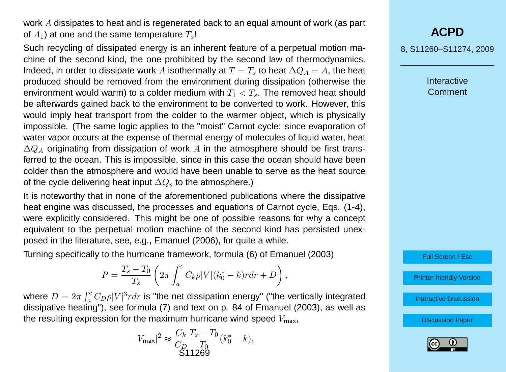work A dissipates to heat and is regenerated back to an equal amount of work (as part of  $A_1$ ) at one and the same temperature  $T_s!$ 

Such recycling of dissipated energy is an inherent feature of a perpetual motion machine of the second kind, the one prohibited by the second law of thermodynamics. Indeed, in order to dissipate work A isothermally at  $T = T_s$  to heat  $\Delta Q_A = A$ , the heat produced should be removed from the environment during dissipation (otherwise the environment would warm) to a colder medium with  $T_1 < T_s$ . The removed heat should be afterwards gained back to the environment to be converted to work. However, this would imply heat transport from the colder to the warmer object, which is physically impossible. (The same logic applies to the "moist" Carnot cycle: since evaporation of water vapor occurs at the expense of thermal energy of molecules of liquid water, heat  $\Delta Q_A$  originating from dissipation of work A in the atmosphere should be first transferred to the ocean. This is impossible, since in this case the ocean should have been colder than the atmosphere and would have been unable to serve as the heat source of the cycle delivering heat input  $\Delta Q_s$  to the atmosphere.)

It is noteworthy that in none of the aforementioned publications where the dissipative heat engine was discussed, the processes and equations of Carnot cycle, Eqs. (1-4), were explicitly considered. This might be one of possible reasons for why a concept equivalent to the perpetual motion machine of the second kind has persisted unexposed in the literature, see, e.g., [Emanuel](#page-13-0) [\(2006\)](#page-13-0), for quite a while.

Turning specifically to the hurricane framework, formula (6) of [Emanuel](#page-13-0) [\(2003\)](#page-13-0)

$$
P = \frac{T_s - T_0}{T_s} \left( 2\pi \int_a^c C_k \rho |V| (k_0^* - k) r dr + D \right),
$$

where  $D=2\pi\int_{a}^{c}C_{D}\rho|V|^{3}rdr$  is "the net dissipation energy" ("the vertically integrated dissipative heating"), see formula (7) and text on p. 84 of [Emanuel](#page-13-0) [\(2003\)](#page-13-0), as well as the resulting expression for the maximum hurricane wind speed  $V_{\text{max}}$ ,

$$
|V_{\text{max}}|^2 \approx \frac{C_k}{C_D} \frac{T_s - T_0}{T_0} (k_0^* - k),
$$
  
\$11269

# **[ACPD](http://www.atmos-chem-phys-discuss.net)**

8, S11260–S11274, 2009

**Interactive Comment** 

Full Screen / Esc

[Printer-friendly Version](http://www.atmos-chem-phys-discuss.net/8/S11260/2009/acpd-8-S11260-2009-print.pdf)

[Interactive Discussion](http://www.atmos-chem-phys-discuss.net/8/17423/2008/acpd-8-17423-2008-discussion.html)

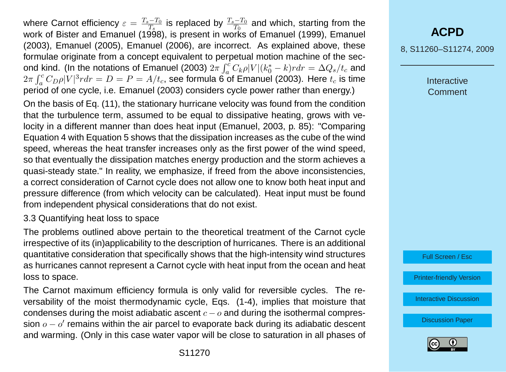where Carnot efficiency  $\varepsilon = \frac{T_s - T_0}{T_s}$  $\frac{1-T_0}{T_s}$  is replaced by  $\frac{T_s-T_0}{T_0}$  and which, starting from the work of [Bister and Emanuel](#page-13-0) [\(1998\)](#page-13-0), is present in works of [Emanuel](#page-13-0) [\(1999\)](#page-13-0), Emanuel [\(2003\)](#page-13-0), [Emanuel](#page-13-0) [\(2005\)](#page-13-0), [Emanuel](#page-13-0) [\(2006\)](#page-13-0), are incorrect. As explained above, these formulae originate from a concept equivalent to perpetual motion machine of the sec-ond kind. (In the notations of [Emanuel](#page-13-0) [\(2003\)](#page-13-0)  $2\pi\int_{a}^{c}C_{k}\rho|V|(k_{0}^{*}-k) r dr = \Delta Q_{s}/t_{c}$  and  $2\pi\int_a^c C_D\rho |V|^3r dr=D=P=A/t_c$ , see formula  $\widetilde{\bf{6}}$  of [Emanuel](#page-13-0) [\(2003\)](#page-13-0). Here  $t_c$  is time period of one cycle, i.e. [Emanuel](#page-13-0) [\(2003\)](#page-13-0) considers cycle power rather than energy.)

On the basis of Eq. (11), the stationary hurricane velocity was found from the condition that the turbulence term, assumed to be equal to dissipative heating, grows with velocity in a different manner than does heat input [\(Emanuel,](#page-13-0) [2003,](#page-13-0) p. 85): "Comparing Equation 4 with Equation 5 shows that the dissipation increases as the cube of the wind speed, whereas the heat transfer increases only as the first power of the wind speed, so that eventually the dissipation matches energy production and the storm achieves a quasi-steady state." In reality, we emphasize, if freed from the above inconsistencies, a correct consideration of Carnot cycle does not allow one to know both heat input and pressure difference (from which velocity can be calculated). Heat input must be found from independent physical considerations that do not exist.

### 3.3 Quantifying heat loss to space

The problems outlined above pertain to the theoretical treatment of the Carnot cycle irrespective of its (in)applicability to the description of hurricanes. There is an additional quantitative consideration that specifically shows that the high-intensity wind structures as hurricanes cannot represent a Carnot cycle with heat input from the ocean and heat loss to space.

The Carnot maximum efficiency formula is only valid for reversible cycles. The reversability of the moist thermodynamic cycle, Eqs. (1-4), implies that moisture that condenses during the moist adiabatic ascent  $c - o$  and during the isothermal compression  $o - o'$  remains within the air parcel to evaporate back during its adiabatic descent and warming. (Only in this case water vapor will be close to saturation in all phases of

# **[ACPD](http://www.atmos-chem-phys-discuss.net)**

8, S11260–S11274, 2009

**Interactive Comment** 



[Printer-friendly Version](http://www.atmos-chem-phys-discuss.net/8/S11260/2009/acpd-8-S11260-2009-print.pdf)

[Interactive Discussion](http://www.atmos-chem-phys-discuss.net/8/17423/2008/acpd-8-17423-2008-discussion.html)

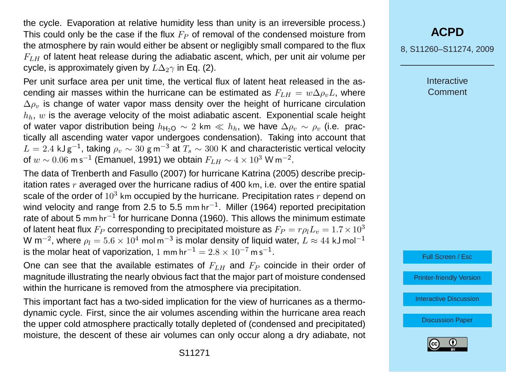the cycle. Evaporation at relative humidity less than unity is an irreversible process.) This could only be the case if the flux  $F<sub>P</sub>$  of removal of the condensed moisture from the atmosphere by rain would either be absent or negligibly small compared to the flux  $F<sub>LLH</sub>$  of latent heat release during the adiabatic ascent, which, per unit air volume per cycle, is approximately given by  $L\Delta_2\gamma$  in Eq. (2).

Per unit surface area per unit time, the vertical flux of latent heat released in the ascending air masses within the hurricane can be estimated as  $F_{LH} = w \Delta \rho_{v} L$ , where  $\Delta \rho_v$  is change of water vapor mass density over the height of hurricane circulation  $h_h$ , w is the average velocity of the moist adiabatic ascent. Exponential scale height of water vapor distribution being  $h_{H_2O} \sim 2$  km  $\ll h_h$ , we have  $\Delta \rho_v \sim \rho_v$  (i.e. practically all ascending water vapor undergoes condensation). Taking into account that  $L = 2.4$  kJ g $^{-1}$ , taking  $\rho_v \sim 30$  g m $^{-3}$  at  $T_s \sim 300$  K and characteristic vertical velocity of  $w\sim 0.06$  m s $^{-1}$  [\(Emanuel,](#page-13-0) [1991\)](#page-13-0) we obtain  $F_{LH}\sim 4\times 10^3$  W m $^{-2}.$ 

The data of [Trenberth and Fasullo](#page-14-0) [\(2007\)](#page-14-0) for hurricane Katrina (2005) describe precipitation rates  $r$  averaged over the hurricane radius of 400 km, i.e. over the entire spatial scale of the order of  $10^3$  km occupied by the hurricane. Precipitation rates r depend on wind velocity and range from 2.5 to 5.5 mm hr<sup>-1</sup>. [Miller](#page-14-0) [\(1964\)](#page-14-0) reported precipitation rate of about 5 mm hr<sup>-1</sup> for hurricane Donna (1960). This allows the minimum estimate of latent heat flux  $F_P$  corresponding to precipitated moisture as  $F_P = r \rho_l L_v = 1.7 \times 10^3$ W m $^{-2}$ , where  $\rho_l = 5.6 \times 10^4$  mol m $^{-3}$  is molar density of liquid water,  $L \approx 44$  kJ mol $^{-1}$ is the molar heat of vaporization, 1 mm hr<sup>-1</sup> =  $2.8 \times 10^{-7}$  m s<sup>-1</sup>.

One can see that the available estimates of  $F_{LH}$  and  $F_P$  coincide in their order of magnitude illustrating the nearly obvious fact that the major part of moisture condensed within the hurricane is removed from the atmosphere via precipitation.

This important fact has a two-sided implication for the view of hurricanes as a thermodynamic cycle. First, since the air volumes ascending within the hurricane area reach the upper cold atmosphere practically totally depleted of (condensed and precipitated) moisture, the descent of these air volumes can only occur along a dry adiabate, not 8, S11260–S11274, 2009

**Interactive Comment** 



[Printer-friendly Version](http://www.atmos-chem-phys-discuss.net/8/S11260/2009/acpd-8-S11260-2009-print.pdf)

[Interactive Discussion](http://www.atmos-chem-phys-discuss.net/8/17423/2008/acpd-8-17423-2008-discussion.html)

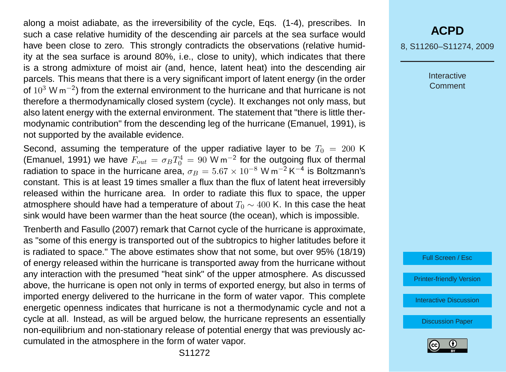along a moist adiabate, as the irreversibility of the cycle, Eqs. (1-4), prescribes. In such a case relative humidity of the descending air parcels at the sea surface would have been close to zero. This strongly contradicts the observations (relative humidity at the sea surface is around 80%, i.e., close to unity), which indicates that there is a strong admixture of moist air (and, hence, latent heat) into the descending air parcels. This means that there is a very significant import of latent energy (in the order of  $10^3$  W m<sup>-2</sup>) from the external environment to the hurricane and that hurricane is not therefore a thermodynamically closed system (cycle). It exchanges not only mass, but also latent energy with the external environment. The statement that "there is little thermodynamic contribution" from the descending leg of the hurricane [\(Emanuel,](#page-13-0) [1991\)](#page-13-0), is not supported by the available evidence.

Second, assuming the temperature of the upper radiative layer to be  $T_0 = 200$  K [\(Emanuel,](#page-13-0) [1991\)](#page-13-0) we have  $F_{out} = \sigma_B T_0^4 = 90 \text{ W m}^{-2}$  for the outgoing flux of thermal radiation to space in the hurricane area,  $\sigma_B = 5.67 \times 10^{-8}$  W m<sup>-2</sup> K<sup>-4</sup> is Boltzmann's constant. This is at least 19 times smaller a flux than the flux of latent heat irreversibly released within the hurricane area. In order to radiate this flux to space, the upper atmosphere should have had a temperature of about  $T_0 \sim 400$  K. In this case the heat sink would have been warmer than the heat source (the ocean), which is impossible.

[Trenberth and Fasullo](#page-14-0) [\(2007\)](#page-14-0) remark that Carnot cycle of the hurricane is approximate, as "some of this energy is transported out of the subtropics to higher latitudes before it is radiated to space." The above estimates show that not some, but over 95% (18/19) of energy released within the hurricane is transported away from the hurricane without any interaction with the presumed "heat sink" of the upper atmosphere. As discussed above, the hurricane is open not only in terms of exported energy, but also in terms of imported energy delivered to the hurricane in the form of water vapor. This complete energetic openness indicates that hurricane is not a thermodynamic cycle and not a cycle at all. Instead, as will be argued below, the hurricane represents an essentially non-equilibrium and non-stationary release of potential energy that was previously accumulated in the atmosphere in the form of water vapor.

# **[ACPD](http://www.atmos-chem-phys-discuss.net)**

8, S11260–S11274, 2009

Interactive Comment



[Printer-friendly Version](http://www.atmos-chem-phys-discuss.net/8/S11260/2009/acpd-8-S11260-2009-print.pdf)

[Interactive Discussion](http://www.atmos-chem-phys-discuss.net/8/17423/2008/acpd-8-17423-2008-discussion.html)

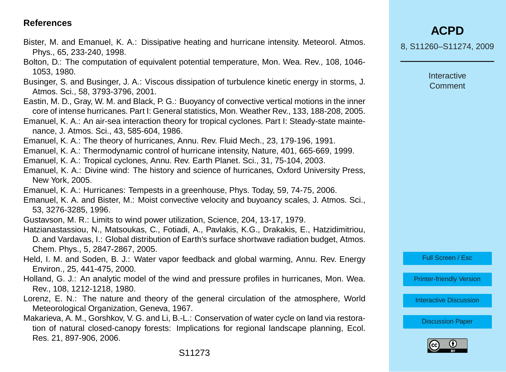### <span id="page-13-0"></span>**References**

- Bister, M. and Emanuel, K. A.: Dissipative heating and hurricane intensity. Meteorol. Atmos. Phys., 65, 233-240, 1998.
- Bolton, D.: The computation of equivalent potential temperature, Mon. Wea. Rev., 108, 1046- 1053, 1980.
- Businger, S. and Businger, J. A.: Viscous dissipation of turbulence kinetic energy in storms, J. Atmos. Sci., 58, 3793-3796, 2001.
- Eastin, M. D., Gray, W. M. and Black, P. G.: Buoyancy of convective vertical motions in the inner core of intense hurricanes. Part I: General statistics, Mon. Weather Rev., 133, 188-208, 2005.
- Emanuel, K. A.: An air-sea interaction theory for tropical cyclones. Part I: Steady-state maintenance, J. Atmos. Sci., 43, 585-604, 1986.
- Emanuel, K. A.: The theory of hurricanes, Annu. Rev. Fluid Mech., 23, 179-196, 1991.
- Emanuel, K. A.: Thermodynamic control of hurricane intensity, Nature, 401, 665-669, 1999.
- Emanuel, K. A.: Tropical cyclones, Annu. Rev. Earth Planet. Sci., 31, 75-104, 2003.
- Emanuel, K. A.: Divine wind: The history and science of hurricanes, Oxford University Press, New York, 2005.
- Emanuel, K. A.: Hurricanes: Tempests in a greenhouse, Phys. Today, 59, 74-75, 2006.
- Emanuel, K. A. and Bister, M.: Moist convective velocity and buyoancy scales, J. Atmos. Sci., 53, 3276-3285, 1996.
- Gustavson, M. R.: Limits to wind power utilization, Science, 204, 13-17, 1979.
- Hatzianastassiou, N., Matsoukas, C., Fotiadi, A., Pavlakis, K.G., Drakakis, E., Hatzidimitriou, D. and Vardavas, I.: Global distribution of Earth's surface shortwave radiation budget, Atmos. Chem. Phys., 5, 2847-2867, 2005.
- Held, I. M. and Soden, B. J.: Water vapor feedback and global warming, Annu. Rev. Energy Environ., 25, 441-475, 2000.
- Holland, G. J.: An analytic model of the wind and pressure profiles in hurricanes, Mon. Wea. Rev., 108, 1212-1218, 1980.
- Lorenz, E. N.: The nature and theory of the general circulation of the atmosphere, World Meteorological Organization, Geneva, 1967.
- Makarieva, A. M., Gorshkov, V. G. and Li, B.-L.: Conservation of water cycle on land via restoration of natural closed-canopy forests: Implications for regional landscape planning, Ecol. Res. 21, 897-906, 2006.

8, S11260–S11274, 2009

Interactive **Comment** 

Full Screen / Esc

[Printer-friendly Version](http://www.atmos-chem-phys-discuss.net/8/S11260/2009/acpd-8-S11260-2009-print.pdf)

[Interactive Discussion](http://www.atmos-chem-phys-discuss.net/8/17423/2008/acpd-8-17423-2008-discussion.html)